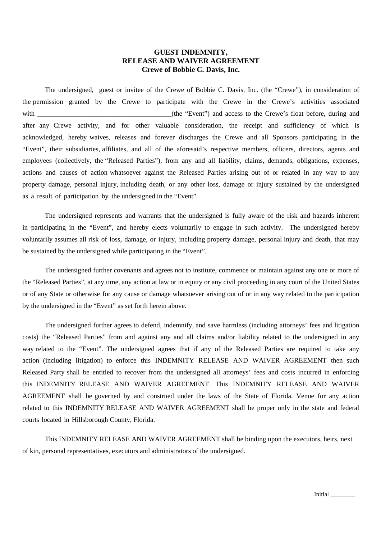## **GUEST INDEMNITY, RELEASE AND WAIVER AGREEMENT Crewe of Bobbie C. Davis, Inc.**

The undersigned, guest or invitee of the Crewe of Bobbie C. Davis, Inc. (the "Crewe"), in consideration of the permission granted by the Crewe to participate with the Crewe in the Crewe's activities associated with the same of the "Event") and access to the Crewe's float before, during and  $\alpha$ after any Crewe activity, and for other valuable consideration, the receipt and sufficiency of which is acknowledged, hereby waives, releases and forever discharges the Crewe and all Sponsors participating in the "Event", their subsidiaries, affiliates, and all of the aforesaid's respective members, officers, directors, agents and employees (collectively, the "Released Parties"), from any and all liability, claims, demands, obligations, expenses, actions and causes of action whatsoever against the Released Parties arising out of or related in any way to any property damage, personal injury, including death, or any other loss, damage or injury sustained by the undersigned as a result of participation by the undersigned in the "Event".

The undersigned represents and warrants that the undersigned is fully aware of the risk and hazards inherent in participating in the "Event", and hereby elects voluntarily to engage in such activity. The undersigned hereby voluntarily assumes all risk of loss, damage, or injury, including property damage, personal injury and death, that may be sustained by the undersigned while participating in the "Event".

The undersigned further covenants and agrees not to institute, commence or maintain against any one or more of the "Released Parties", at any time, any action at law or in equity or any civil proceeding in any court of the United States or of any State or otherwise for any cause or damage whatsoever arising out of or in any way related to the participation by the undersigned in the "Event" as set forth herein above.

The undersigned further agrees to defend, indemnify, and save harmless (including attorneys' fees and litigation costs) the "Released Parties" from and against any and all claims and/or liability related to the undersigned in any way related to the "Event". The undersigned agrees that if any of the Released Parties are required to take any action (including litigation) to enforce this INDEMNITY RELEASE AND WAIVER AGREEMENT then such Released Party shall be entitled to recover from the undersigned all attorneys' fees and costs incurred in enforcing this INDEMNITY RELEASE AND WAIVER AGREEMENT. This INDEMNITY RELEASE AND WAIVER AGREEMENT shall be governed by and construed under the laws of the State of Florida. Venue for any action related to this INDEMNITY RELEASE AND WAIVER AGREEMENT shall be proper only in the state and federal courts located in Hillsborough County, Florida.

This INDEMNITY RELEASE AND WAIVER AGREEMENT shall be binding upon the executors, heirs, next of kin, personal representatives, executors and administrators of the undersigned.